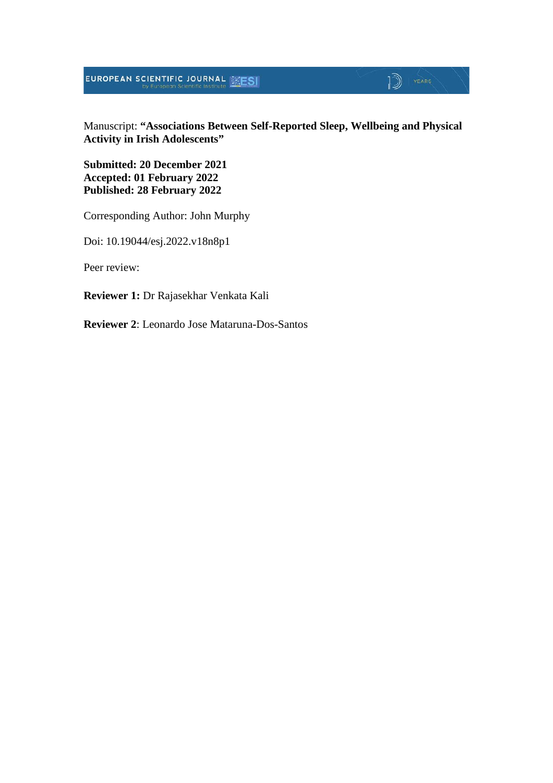**EUROPEAN SCIENTIFIC JOURNAL WEST** 

# $\mathbb{D}$  YEARS

Manuscript: **"Associations Between Self-Reported Sleep, Wellbeing and Physical Activity in Irish Adolescents"**

**Submitted: 20 December 2021 Accepted: 01 February 2022 Published: 28 February 2022**

Corresponding Author: John Murphy

Doi: 10.19044/esj.2022.v18n8p1

Peer review:

**Reviewer 1:** Dr Rajasekhar Venkata Kali

**Reviewer 2**: Leonardo Jose Mataruna-Dos-Santos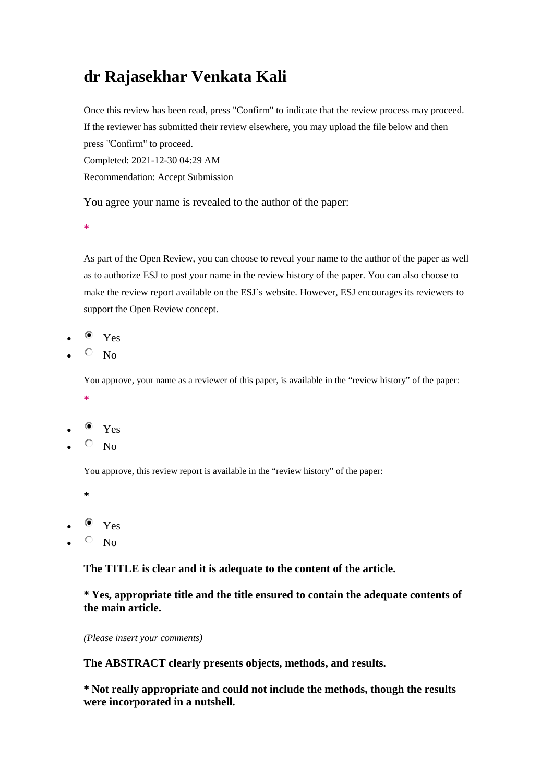# **dr Rajasekhar Venkata Kali**

Once this review has been read, press "Confirm" to indicate that the review process may proceed. If the reviewer has submitted their review elsewhere, you may upload the file below and then press "Confirm" to proceed. Completed: 2021-12-30 04:29 AM

Recommendation: Accept Submission

You agree your name is revealed to the author of the paper:

**\***

As part of the Open Review, you can choose to reveal your name to the author of the paper as well as to authorize ESJ to post your name in the review history of the paper. You can also choose to make the review report available on the ESJ`s website. However, ESJ encourages its reviewers to support the Open Review concept.

- $\bullet$  Yes
- $\overline{O}$  No

You approve, your name as a reviewer of this paper, is available in the "review history" of the paper:

- **\***
- $\bullet$  Yes
- $\circ$  No

You approve, this review report is available in the "review history" of the paper:

- **\***
- $\bullet$  Yes
- $\circ$  No

**The TITLE is clear and it is adequate to the content of the article.**

**\* Yes, appropriate title and the title ensured to contain the adequate contents of the main article.**

*(Please insert your comments)*

**The ABSTRACT clearly presents objects, methods, and results.**

**\* Not really appropriate and could not include the methods, though the results were incorporated in a nutshell.**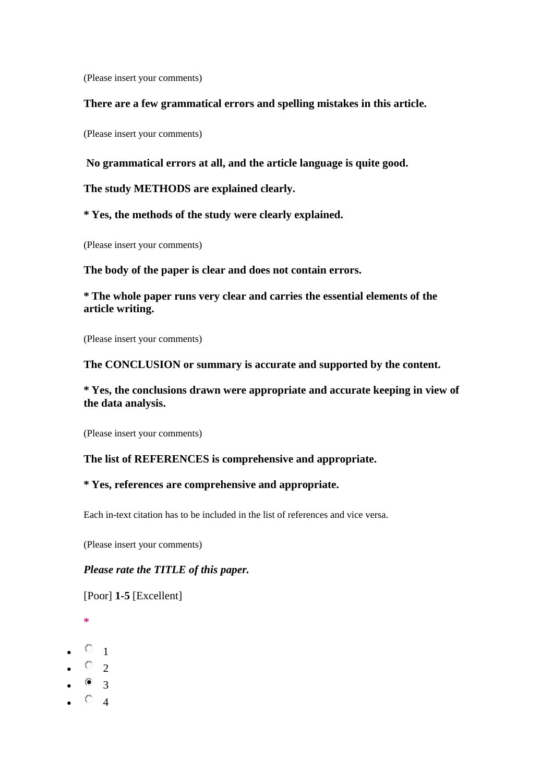(Please insert your comments)

#### **There are a few grammatical errors and spelling mistakes in this article.**

(Please insert your comments)

**No grammatical errors at all, and the article language is quite good.**

**The study METHODS are explained clearly.**

**\* Yes, the methods of the study were clearly explained.**

(Please insert your comments)

**The body of the paper is clear and does not contain errors.**

**\* The whole paper runs very clear and carries the essential elements of the article writing.**

(Please insert your comments)

#### **The CONCLUSION or summary is accurate and supported by the content.**

**\* Yes, the conclusions drawn were appropriate and accurate keeping in view of the data analysis.**

(Please insert your comments)

### **The list of REFERENCES is comprehensive and appropriate.**

### **\* Yes, references are comprehensive and appropriate.**

Each in-text citation has to be included in the list of references and vice versa.

(Please insert your comments)

### *Please rate the TITLE of this paper.*

[Poor] **1-5** [Excellent]

- **\***
- $^{\circ}$   $^{\circ}$  1
- $\bullet$  0 2
- $\bullet$   $\bullet$  3
- $\circ$  4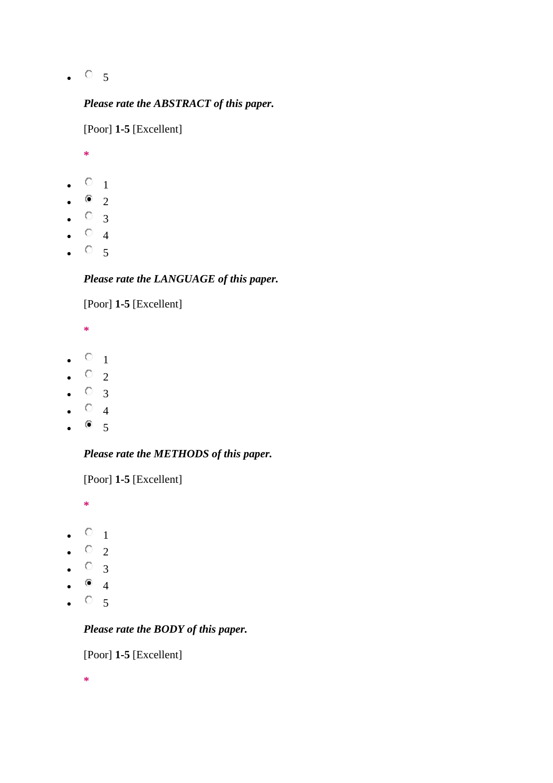$\bullet$   $\circ$  5

# *Please rate the ABSTRACT of this paper.*

[Poor] **1-5** [Excellent]

**\***

- $\circ$  1
- $\bullet$  2
- $\circ$  3
- $\circ$  4
- $\circ$  5

# *Please rate the LANGUAGE of this paper.*

[Poor] **1-5** [Excellent]

**\***

- $\circ$  1
- $\circ$  2
- $\circ$  3
- $\circ$  4
- $^{\circ}$  5

# *Please rate the METHODS of this paper.*

[Poor] **1-5** [Excellent]

**\***

- $\circ$  1
- $\circ$  2
- $\circ$  3
- $\bullet$  4
- $\bullet$   $\circ$  5

# *Please rate the BODY of this paper.*

[Poor] **1-5** [Excellent]

**\***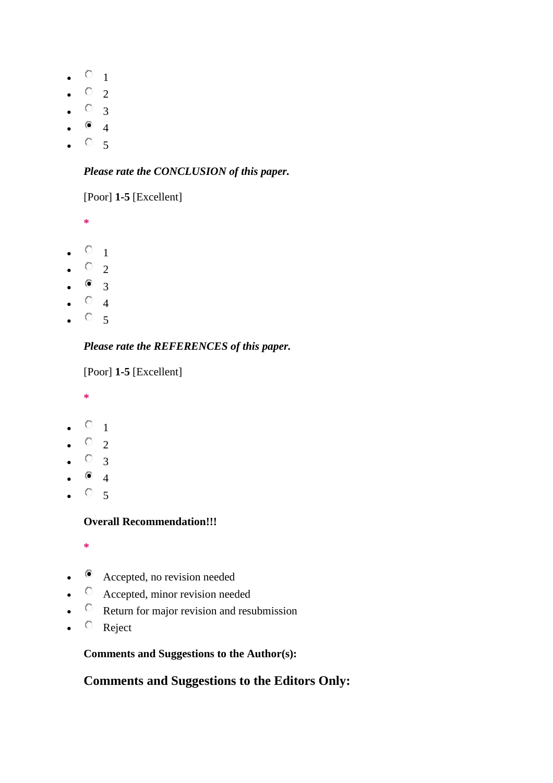- $\circ$  1
- $\circ$  2
- $\circ$  3
- $\bullet$  4
- $\circ$  5

# *Please rate the CONCLUSION of this paper.*

# [Poor] **1-5** [Excellent]

**\***

- $\circ$   $_1$
- $\circ$  2
- $\bullet$  3
- $\circ$  4
- $\circ$  5

# *Please rate the REFERENCES of this paper.*

[Poor] **1-5** [Excellent]

- **\***
- $\circ$  1
- $\circ$  2
- $\circ$  3
- $\bullet$  4
- $\circ$  5

## **Overall Recommendation!!!**

- **\***
- Accepted, no revision needed
- $\circ$  Accepted, minor revision needed
- $\circ$  Return for major revision and resubmission
- $\circ$  Reject

## **Comments and Suggestions to the Author(s):**

# **Comments and Suggestions to the Editors Only:**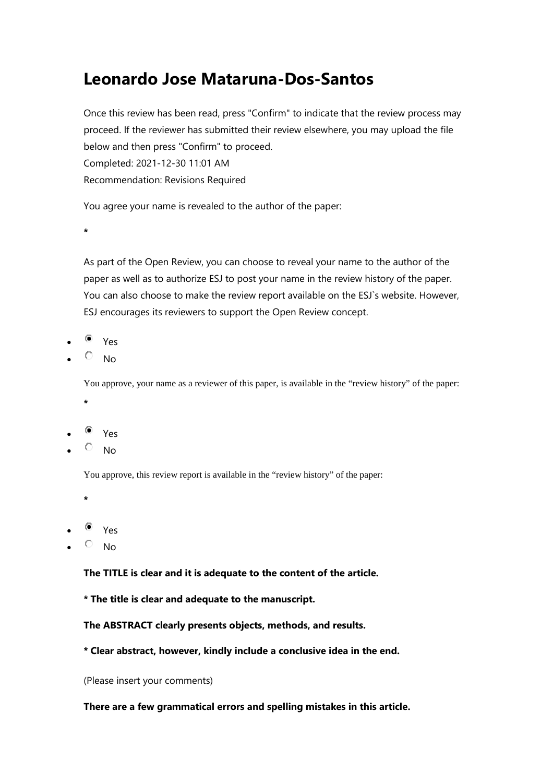# **Leonardo Jose Mataruna-Dos-Santos**

Once this review has been read, press "Confirm" to indicate that the review process may proceed. If the reviewer has submitted their review elsewhere, you may upload the file below and then press "Confirm" to proceed. Completed: 2021-12-30 11:01 AM Recommendation: Revisions Required

You agree your name is revealed to the author of the paper:

**\***

As part of the Open Review, you can choose to reveal your name to the author of the paper as well as to authorize ESJ to post your name in the review history of the paper. You can also choose to make the review report available on the ESJ`s website. However, ESJ encourages its reviewers to support the Open Review concept.

- Yes
- No

You approve, your name as a reviewer of this paper, is available in the "review history" of the paper: **\***

- Yes
- No

You approve, this review report is available in the "review history" of the paper:

**\***

- $\bullet$  Yes
- No

**The TITLE is clear and it is adequate to the content of the article.**

**\* The title is clear and adequate to the manuscript.**

**The ABSTRACT clearly presents objects, methods, and results.**

**\* Clear abstract, however, kindly include a conclusive idea in the end.**

(Please insert your comments)

**There are a few grammatical errors and spelling mistakes in this article.**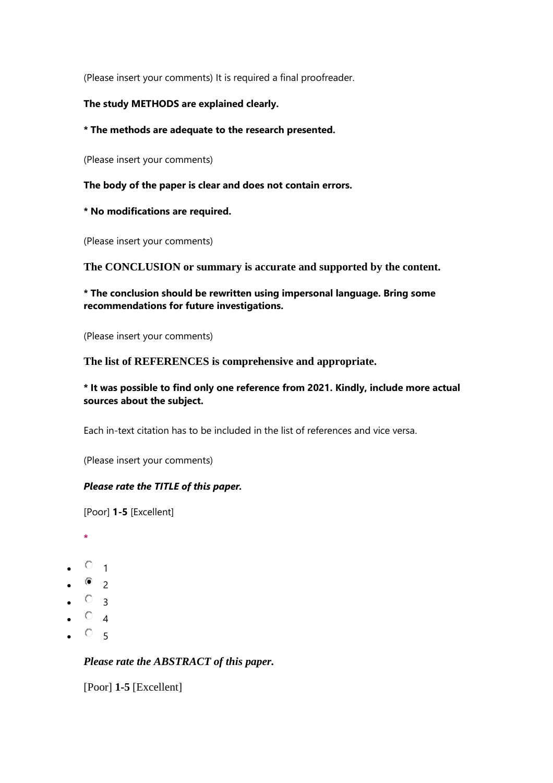(Please insert your comments) It is required a final proofreader.

### **The study METHODS are explained clearly.**

**\* The methods are adequate to the research presented.**

(Please insert your comments)

**The body of the paper is clear and does not contain errors.**

**\* No modifications are required.**

(Please insert your comments)

**The CONCLUSION or summary is accurate and supported by the content.**

### **\* The conclusion should be rewritten using impersonal language. Bring some recommendations for future investigations.**

(Please insert your comments)

**The list of REFERENCES is comprehensive and appropriate.**

### **\* It was possible to find only one reference from 2021. Kindly, include more actual sources about the subject.**

Each in-text citation has to be included in the list of references and vice versa.

(Please insert your comments)

### *Please rate the TITLE of this paper.*

[Poor] **1-5** [Excellent]

- **\***
- $\circ$  1
- $\bullet$  2
- $^{\circ}$   $^{\circ}$  3
- $\circ$  4
- $^{\circ}$  5

## *Please rate the ABSTRACT of this paper.*

[Poor] **1-5** [Excellent]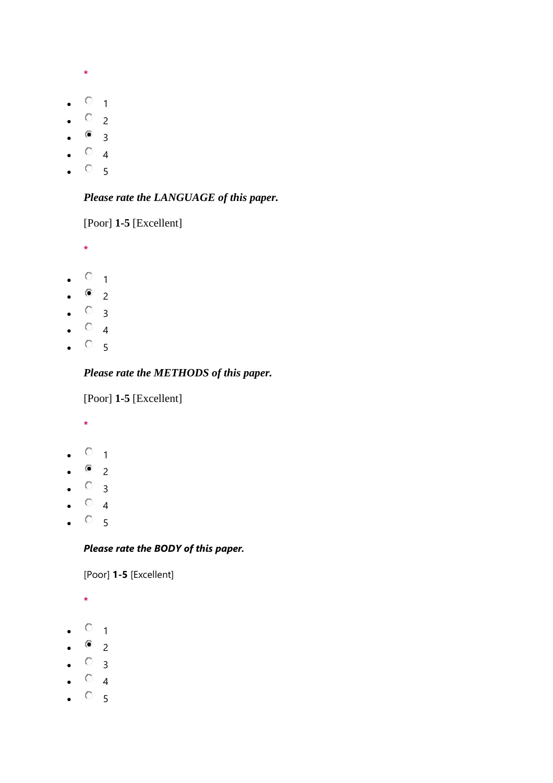- **\***
- $\circ$  1
- $\circ$  2
- $^{\circ}$  3
- $\circ$  4
- $\circ$  5

# *Please rate the LANGUAGE of this paper.*

[Poor] **1-5** [Excellent]

- **\***
- $\circ$  1
- $^{\circ}$  2
- $\circ$  3
- $\circ$  4
- $^{\circ}$  5

# *Please rate the METHODS of this paper.*

[Poor] **1-5** [Excellent]

- **\***
- $\circ$  1
- $\bullet$  2
- $\circ$  3
- $\circ$  4
- $^{\circ}$  5

# *Please rate the BODY of this paper.*

[Poor] **1-5** [Excellent]

- **\***
- $\circ$  1
- $^{\circ}$  2
- $\circ$  3
- $\circ$  4
- $^{\circ}$  5